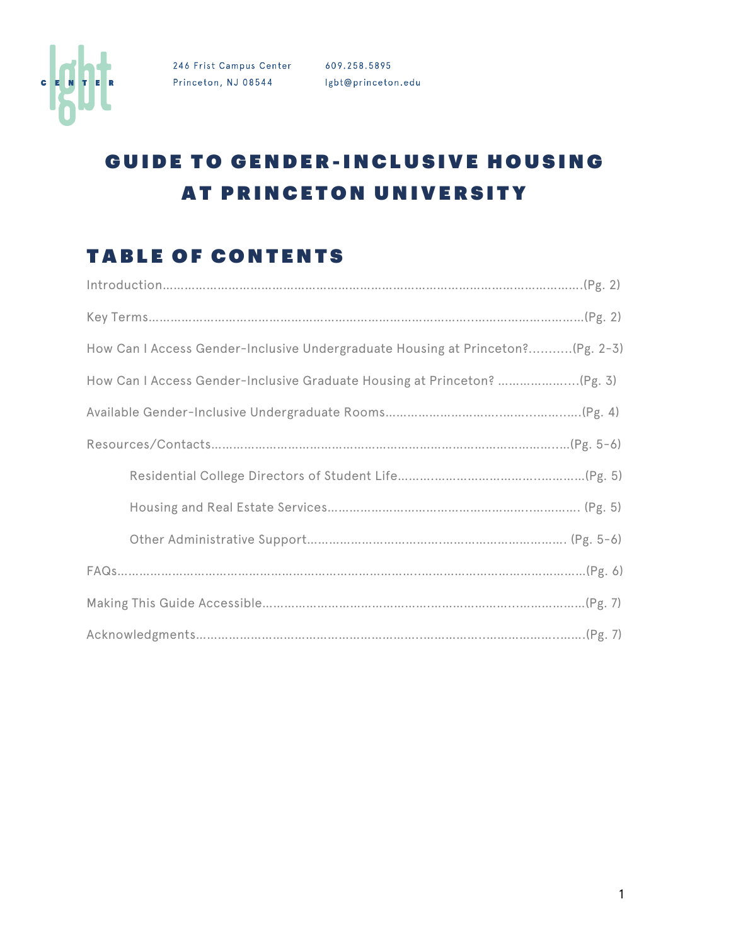

# GUIDE TO GENDER-INCLUSIVE HOUSING AT PRINCETON UNIVERSITY

#### TABLE OF CONTENTS

| How Can I Access Gender-Inclusive Undergraduate Housing at Princeton?(Pg. 2-3) |
|--------------------------------------------------------------------------------|
|                                                                                |
|                                                                                |
|                                                                                |
|                                                                                |
|                                                                                |
|                                                                                |
|                                                                                |
|                                                                                |
|                                                                                |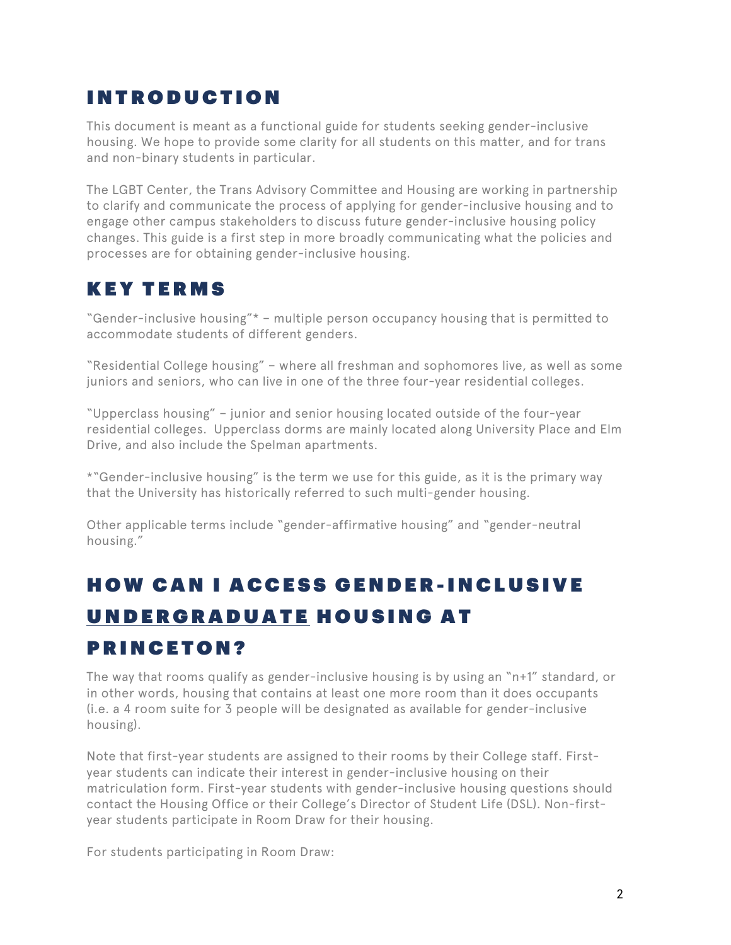#### INTRODUCTION

This document is meant as a functional guide for students seeking gender-inclusive housing. We hope to provide some clarity for all students on this matter, and for trans and non-binary students in particular.

The LGBT Center, the Trans Advisory Committee and Housing are working in partnership to clarify and communicate the process of applying for gender-inclusive housing and to engage other campus stakeholders to discuss future gender-inclusive housing policy changes. This guide is a first step in more broadly communicating what the policies and processes are for obtaining gender-inclusive housing.

### KEY TERMS

"Gender-inclusive housing"\* – multiple person occupancy housing that is permitted to accommodate students of different genders.

"Residential College housing" – where all freshman and sophomores live, as well as some juniors and seniors, who can live in one of the three four-year residential colleges.

"Upperclass housing" – junior and senior housing located outside of the four-year residential colleges. Upperclass dorms are mainly located along University Place and Elm Drive, and also include the Spelman apartments.

\*"Gender-inclusive housing" is the term we use for this guide, as it is the primary way that the University has historically referred to such multi-gender housing.

Other applicable terms include "gender-affirmative housing" and "gender-neutral housing."

# HOW CAN I ACCESS GENDER - INCLUSIVE UNDERGRADUATE HOUSING AT

#### PRINCETON?

The way that rooms qualify as gender-inclusive housing is by using an "n+1" standard, or in other words, housing that contains at least one more room than it does occupants (i.e. a 4 room suite for 3 people will be designated as available for gender-inclusive housing).

Note that first-year students are assigned to their rooms by their College staff. Firstyear students can indicate their interest in gender-inclusive housing on their matriculation form. First-year students with gender-inclusive housing questions should contact the Housing Office or their College's Director of Student Life (DSL). Non-firstyear students participate in Room Draw for their housing.

For students participating in Room Draw: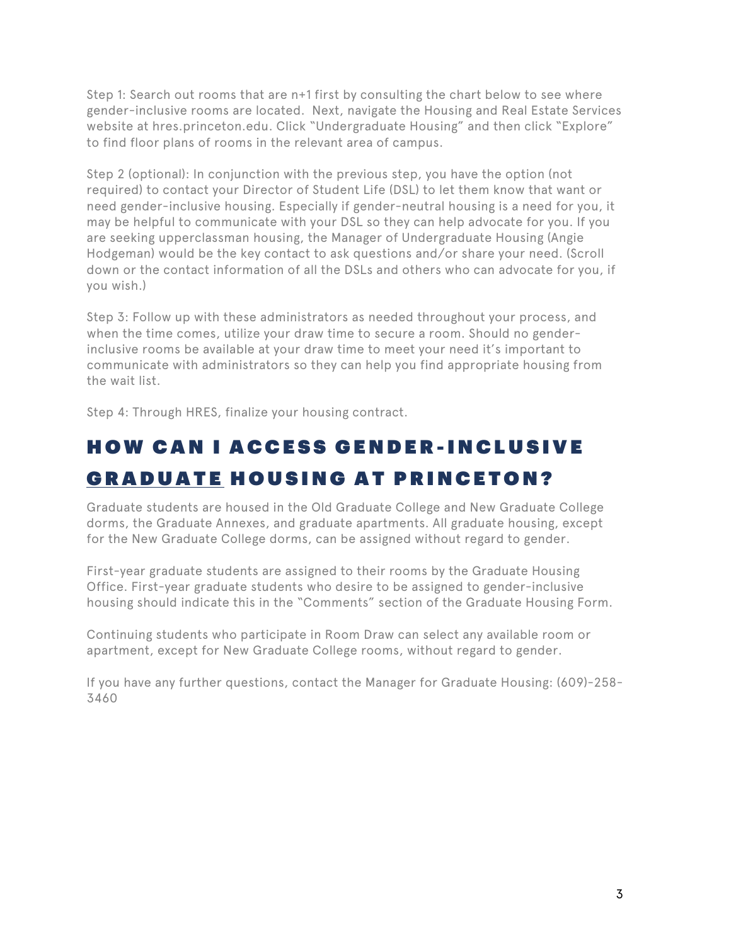Step 1: Search out rooms that are n+1 first by consulting the chart below to see where gender-inclusive rooms are located. Next, navigate the Housing and Real Estate Services website at hres.princeton.edu. Click "Undergraduate Housing" and then click "Explore" to find floor plans of rooms in the relevant area of campus.

Step 2 (optional): In conjunction with the previous step, you have the option (not required) to contact your Director of Student Life (DSL) to let them know that want or need gender-inclusive housing. Especially if gender-neutral housing is a need for you, it may be helpful to communicate with your DSL so they can help advocate for you. If you are seeking upperclassman housing, the Manager of Undergraduate Housing (Angie Hodgeman) would be the key contact to ask questions and/or share your need. (Scroll down or the contact information of all the DSLs and others who can advocate for you, if you wish.)

Step 3: Follow up with these administrators as needed throughout your process, and when the time comes, utilize your draw time to secure a room. Should no genderinclusive rooms be available at your draw time to meet your need it's important to communicate with administrators so they can help you find appropriate housing from the wait list.

Step 4: Through HRES, finalize your housing contract.

## HOW CAN I ACCESS GENDER - INCLUSIVE GRADUATE HOUSING AT PRINCETON?

Graduate students are housed in the Old Graduate College and New Graduate College dorms, the Graduate Annexes, and graduate apartments. All graduate housing, except for the New Graduate College dorms, can be assigned without regard to gender.

First-year graduate students are assigned to their rooms by the Graduate Housing Office. First-year graduate students who desire to be assigned to gender-inclusive housing should indicate this in the "Comments" section of the Graduate Housing Form.

Continuing students who participate in Room Draw can select any available room or apartment, except for New Graduate College rooms, without regard to gender.

If you have any further questions, contact the Manager for Graduate Housing: (609)-258- 3460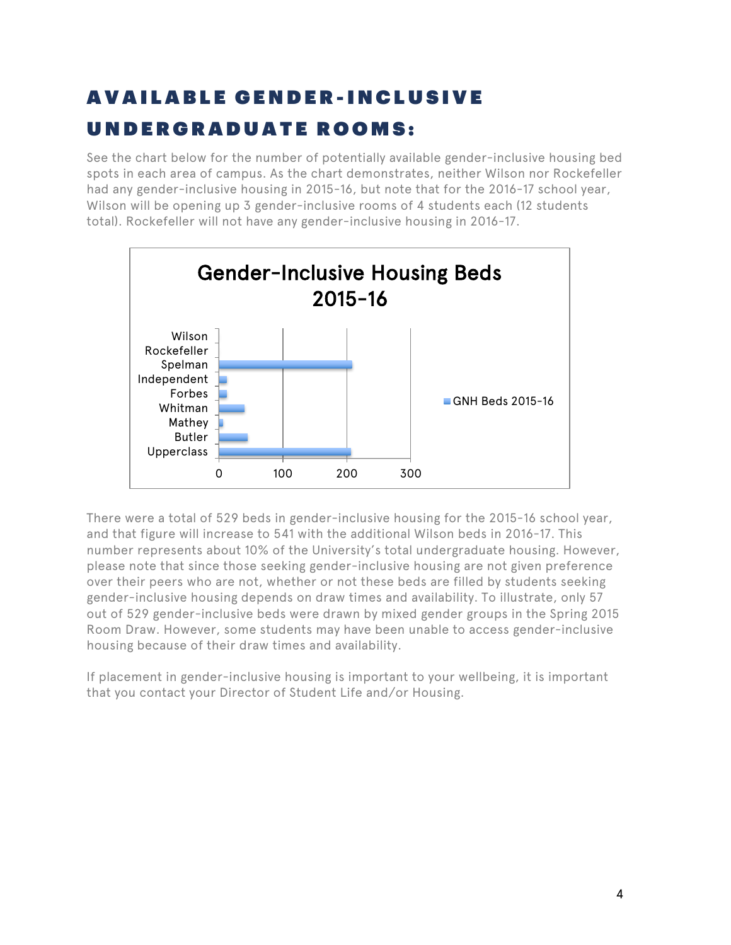# AVAILABLE GENDER - INCLUSIVE UNDERGRADUATE ROOMS:

See the chart below for the number of potentially available gender-inclusive housing bed spots in each area of campus. As the chart demonstrates, neither Wilson nor Rockefeller had any gender-inclusive housing in 2015-16, but note that for the 2016-17 school year, Wilson will be opening up 3 gender-inclusive rooms of 4 students each (12 students total). Rockefeller will not have any gender-inclusive housing in 2016-17.



There were a total of 529 beds in gender-inclusive housing for the 2015-16 school year, and that figure will increase to 541 with the additional Wilson beds in 2016-17. This number represents about 10% of the University's total undergraduate housing. However, please note that since those seeking gender-inclusive housing are not given preference over their peers who are not, whether or not these beds are filled by students seeking gender-inclusive housing depends on draw times and availability. To illustrate, only 57 out of 529 gender-inclusive beds were drawn by mixed gender groups in the Spring 2015 Room Draw. However, some students may have been unable to access gender-inclusive housing because of their draw times and availability.

If placement in gender-inclusive housing is important to your wellbeing, it is important that you contact your Director of Student Life and/or Housing.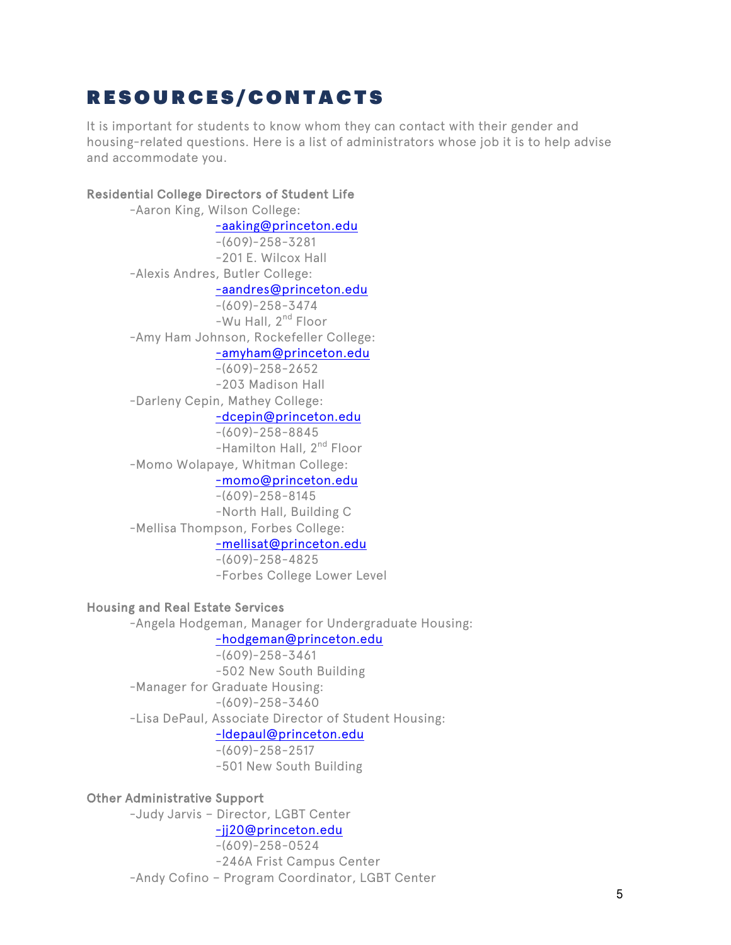### RESOURCES/CONTACTS

It is important for students to know whom they can contact with their gender and housing-related questions. Here is a list of administrators whose job it is to help advise and accommodate you.

#### Residential College Directors of Student Life

-Aaron King, Wilson College: -aaking@princeton.edu -(609)-258-3281 -201 E. Wilcox Hall -Alexis Andres, Butler College: -aandres@princeton.edu -(609)-258-3474 -Wu Hall, 2<sup>nd</sup> Floor -Amy Ham Johnson, Rockefeller College: -amyham@princeton.edu -(609)-258-2652 -203 Madison Hall -Darleny Cepin, Mathey College: -dcepin@princeton.edu -(609)-258-8845 -Hamilton Hall, 2<sup>nd</sup> Floor -Momo Wolapaye, Whitman College: -momo@princeton.edu -(609)-258-8145 -North Hall, Building C -Mellisa Thompson, Forbes College: -mellisat@princeton.edu -(609)-258-4825 -Forbes College Lower Level

#### Housing and Real Estate Services

-Angela Hodgeman, Manager for Undergraduate Housing: -hodgeman@princeton.edu -(609)-258-3461 -502 New South Building -Manager for Graduate Housing: -(609)-258-3460 -Lisa DePaul, Associate Director of Student Housing: -ldepaul@princeton.edu -(609)-258-2517 -501 New South Building

#### Other Administrative Support

-Judy Jarvis – Director, LGBT Center -jj20@princeton.edu -(609)-258-0524 -246A Frist Campus Center -Andy Cofino – Program Coordinator, LGBT Center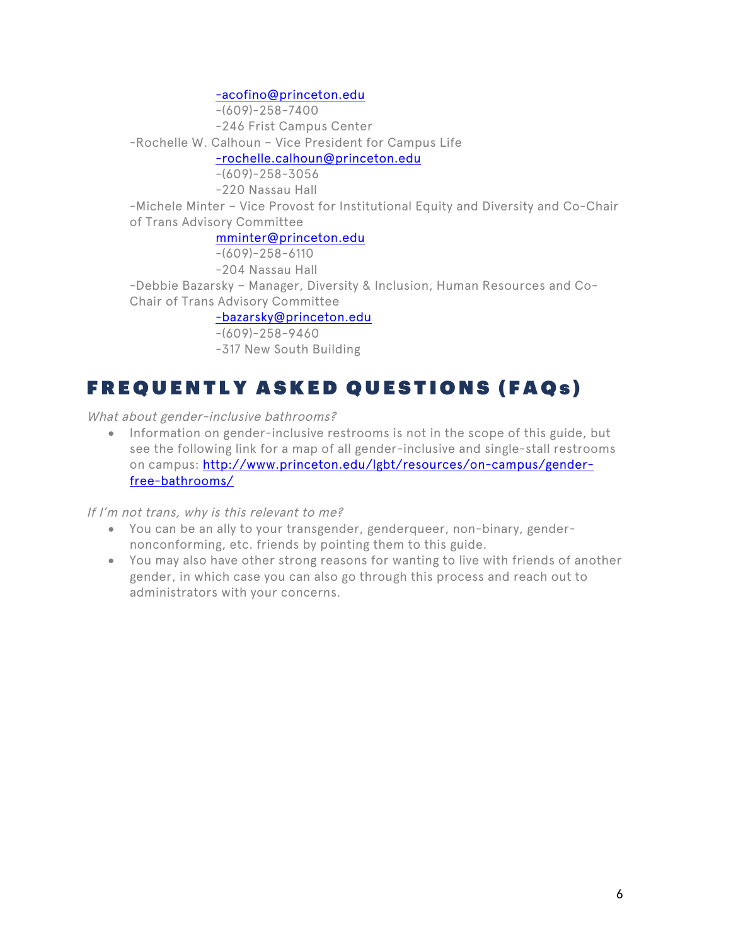-acofino@princeton.edu

-(609)-258-7400 -246 Frist Campus Center -Rochelle W. Calhoun – Vice President for Campus Life -rochelle.calhoun@princeton.edu -(609)-258-3056 -220 Nassau Hall -Michele Minter – Vice Provost for Institutional Equity and Diversity and Co-Chair of Trans Advisory Committee mminter@princeton.edu  $-(609)-258-6110$ -204 Nassau Hall -Debbie Bazarsky – Manager, Diversity & Inclusion, Human Resources and Co-Chair of Trans Advisory Committee -bazarsky@princeton.edu -(609)-258-9460

-317 New South Building

### FREQUENTLY ASKED QUESTIONS (FAQs)

What about gender-inclusive bathrooms?

• Information on gender-inclusive restrooms is not in the scope of this guide, but see the following link for a map of all gender-inclusive and single-stall restrooms on campus: http://www.princeton.edu/lgbt/resources/on-campus/genderfree-bathrooms/

If I'm not trans, why is this relevant to me?

- You can be an ally to your transgender, genderqueer, non-binary, gendernonconforming, etc. friends by pointing them to this guide.
- You may also have other strong reasons for wanting to live with friends of another gender, in which case you can also go through this process and reach out to administrators with your concerns.